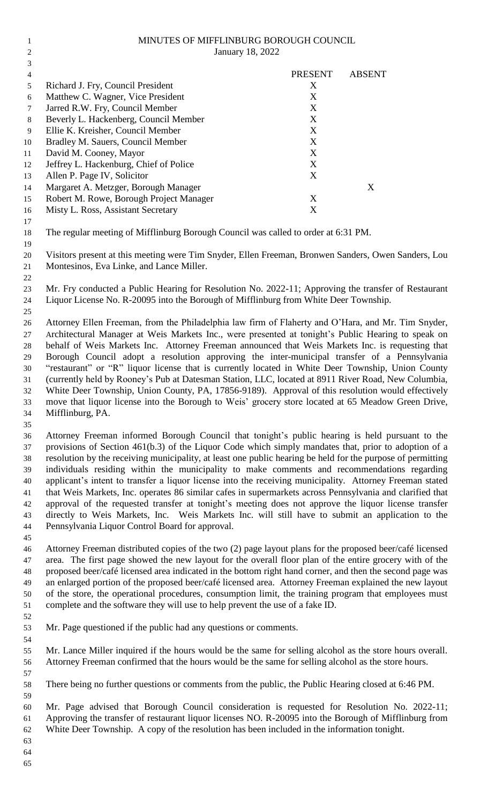| $\overline{2}$ | <b>January 18, 2022</b>                                                                             |                |               |
|----------------|-----------------------------------------------------------------------------------------------------|----------------|---------------|
| 3              |                                                                                                     |                |               |
| $\overline{4}$ |                                                                                                     | <b>PRESENT</b> | <b>ABSENT</b> |
| 5              | Richard J. Fry, Council President                                                                   | X              |               |
| 6              | Matthew C. Wagner, Vice President                                                                   | X              |               |
| 7              | Jarred R.W. Fry, Council Member                                                                     | X              |               |
| 8              | Beverly L. Hackenberg, Council Member                                                               | X              |               |
| 9              | Ellie K. Kreisher, Council Member                                                                   | X              |               |
| 10             | Bradley M. Sauers, Council Member                                                                   | X              |               |
| 11             | David M. Cooney, Mayor                                                                              | X              |               |
| 12             | Jeffrey L. Hackenburg, Chief of Police                                                              | X              |               |
| 13             | Allen P. Page IV, Solicitor                                                                         | X              |               |
| 14             | Margaret A. Metzger, Borough Manager                                                                |                | X             |
| 15             | Robert M. Rowe, Borough Project Manager                                                             | X              |               |
| 16             | Misty L. Ross, Assistant Secretary                                                                  | X              |               |
| 17             |                                                                                                     |                |               |
| 18             | The regular meeting of Mifflinburg Borough Council was called to order at 6:31 PM.                  |                |               |
| 19             |                                                                                                     |                |               |
| 20             | Visitors present at this meeting were Tim Snyder, Ellen Freeman, Bronwen Sanders, Owen Sanders, Lou |                |               |
| 21             | Montesinos, Eva Linke, and Lance Miller.                                                            |                |               |
| 22             |                                                                                                     |                |               |

MINUTES OF MIFFLINBURG BOROUGH COUNCIL

 Mr. Fry conducted a Public Hearing for Resolution No. 2022-11; Approving the transfer of Restaurant Liquor License No. R-20095 into the Borough of Mifflinburg from White Deer Township.

 Attorney Ellen Freeman, from the Philadelphia law firm of Flaherty and O'Hara, and Mr. Tim Snyder, Architectural Manager at Weis Markets Inc., were presented at tonight's Public Hearing to speak on behalf of Weis Markets Inc. Attorney Freeman announced that Weis Markets Inc. is requesting that Borough Council adopt a resolution approving the inter-municipal transfer of a Pennsylvania "restaurant" or "R" liquor license that is currently located in White Deer Township, Union County (currently held by Rooney's Pub at Datesman Station, LLC, located at 8911 River Road, New Columbia, White Deer Township, Union County, PA, 17856-9189). Approval of this resolution would effectively move that liquor license into the Borough to Weis' grocery store located at 65 Meadow Green Drive, Mifflinburg, PA.

 Attorney Freeman informed Borough Council that tonight's public hearing is held pursuant to the provisions of Section 461(b.3) of the Liquor Code which simply mandates that, prior to adoption of a resolution by the receiving municipality, at least one public hearing be held for the purpose of permitting individuals residing within the municipality to make comments and recommendations regarding applicant's intent to transfer a liquor license into the receiving municipality. Attorney Freeman stated that Weis Markets, Inc. operates 86 similar cafes in supermarkets across Pennsylvania and clarified that approval of the requested transfer at tonight's meeting does not approve the liquor license transfer directly to Weis Markets, Inc. Weis Markets Inc. will still have to submit an application to the Pennsylvania Liquor Control Board for approval.

 Attorney Freeman distributed copies of the two (2) page layout plans for the proposed beer/café licensed area. The first page showed the new layout for the overall floor plan of the entire grocery with of the proposed beer/café licensed area indicated in the bottom right hand corner, and then the second page was an enlarged portion of the proposed beer/café licensed area. Attorney Freeman explained the new layout of the store, the operational procedures, consumption limit, the training program that employees must complete and the software they will use to help prevent the use of a fake ID.

 Mr. Page questioned if the public had any questions or comments. 

 Mr. Lance Miller inquired if the hours would be the same for selling alcohol as the store hours overall. Attorney Freeman confirmed that the hours would be the same for selling alcohol as the store hours.

There being no further questions or comments from the public, the Public Hearing closed at 6:46 PM.

 Mr. Page advised that Borough Council consideration is requested for Resolution No. 2022-11; Approving the transfer of restaurant liquor licenses NO. R-20095 into the Borough of Mifflinburg from White Deer Township. A copy of the resolution has been included in the information tonight.

- 
-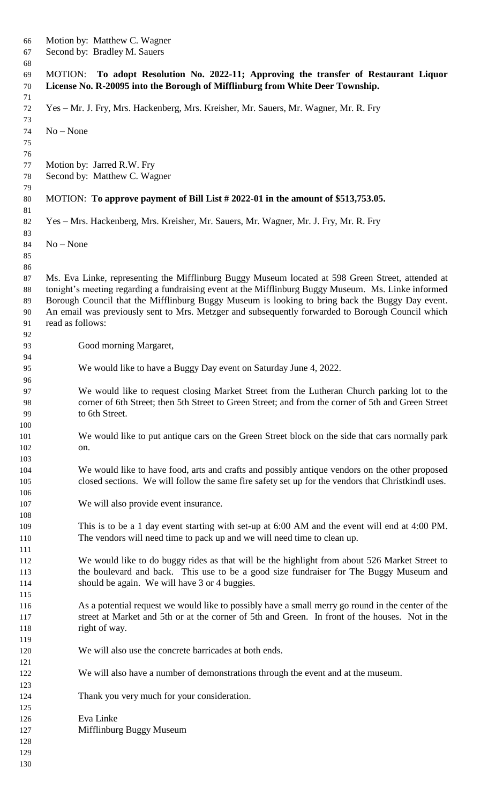| 66<br>67<br>68             | Motion by: Matthew C. Wagner<br>Second by: Bradley M. Sauers                                                                                                                                                                                                                                                                                                                                                                        |
|----------------------------|-------------------------------------------------------------------------------------------------------------------------------------------------------------------------------------------------------------------------------------------------------------------------------------------------------------------------------------------------------------------------------------------------------------------------------------|
| 69<br>$70\,$               | To adopt Resolution No. 2022-11; Approving the transfer of Restaurant Liquor<br><b>MOTION:</b><br>License No. R-20095 into the Borough of Mifflinburg from White Deer Township.                                                                                                                                                                                                                                                     |
| 71<br>72<br>73             | Yes – Mr. J. Fry, Mrs. Hackenberg, Mrs. Kreisher, Mr. Sauers, Mr. Wagner, Mr. R. Fry                                                                                                                                                                                                                                                                                                                                                |
| 74<br>75<br>76             | $No - None$                                                                                                                                                                                                                                                                                                                                                                                                                         |
| 77<br>78<br>79             | Motion by: Jarred R.W. Fry<br>Second by: Matthew C. Wagner                                                                                                                                                                                                                                                                                                                                                                          |
| 80<br>81                   | MOTION: To approve payment of Bill List # 2022-01 in the amount of \$513,753.05.                                                                                                                                                                                                                                                                                                                                                    |
| 82<br>83                   | Yes – Mrs. Hackenberg, Mrs. Kreisher, Mr. Sauers, Mr. Wagner, Mr. J. Fry, Mr. R. Fry                                                                                                                                                                                                                                                                                                                                                |
| 84<br>85<br>86             | $No - None$                                                                                                                                                                                                                                                                                                                                                                                                                         |
| 87<br>88<br>89<br>90<br>91 | Ms. Eva Linke, representing the Mifflinburg Buggy Museum located at 598 Green Street, attended at<br>tonight's meeting regarding a fundraising event at the Mifflinburg Buggy Museum. Ms. Linke informed<br>Borough Council that the Mifflinburg Buggy Museum is looking to bring back the Buggy Day event.<br>An email was previously sent to Mrs. Metzger and subsequently forwarded to Borough Council which<br>read as follows: |
| 92<br>93<br>94             | Good morning Margaret,                                                                                                                                                                                                                                                                                                                                                                                                              |
| 95<br>96                   | We would like to have a Buggy Day event on Saturday June 4, 2022.                                                                                                                                                                                                                                                                                                                                                                   |
| 97<br>98<br>99<br>100      | We would like to request closing Market Street from the Lutheran Church parking lot to the<br>corner of 6th Street; then 5th Street to Green Street; and from the corner of 5th and Green Street<br>to 6th Street.                                                                                                                                                                                                                  |
| 101<br>102                 | We would like to put antique cars on the Green Street block on the side that cars normally park<br>on.                                                                                                                                                                                                                                                                                                                              |
| 103<br>104<br>105<br>106   | We would like to have food, arts and crafts and possibly antique vendors on the other proposed<br>closed sections. We will follow the same fire safety set up for the vendors that Christkindl uses.                                                                                                                                                                                                                                |
| 107<br>108                 | We will also provide event insurance.                                                                                                                                                                                                                                                                                                                                                                                               |
| 109<br>110<br>111          | This is to be a 1 day event starting with set-up at 6:00 AM and the event will end at 4:00 PM.<br>The vendors will need time to pack up and we will need time to clean up.                                                                                                                                                                                                                                                          |
| 112<br>113<br>114<br>115   | We would like to do buggy rides as that will be the highlight from about 526 Market Street to<br>the boulevard and back. This use to be a good size fundraiser for The Buggy Museum and<br>should be again. We will have 3 or 4 buggies.                                                                                                                                                                                            |
| 116<br>117<br>118<br>119   | As a potential request we would like to possibly have a small merry go round in the center of the<br>street at Market and 5th or at the corner of 5th and Green. In front of the houses. Not in the<br>right of way.                                                                                                                                                                                                                |
| 120<br>121                 | We will also use the concrete barricades at both ends.                                                                                                                                                                                                                                                                                                                                                                              |
| 122<br>123                 | We will also have a number of demonstrations through the event and at the museum.                                                                                                                                                                                                                                                                                                                                                   |
| 124<br>125                 | Thank you very much for your consideration.                                                                                                                                                                                                                                                                                                                                                                                         |
| 126<br>127<br>128<br>129   | Eva Linke<br>Mifflinburg Buggy Museum                                                                                                                                                                                                                                                                                                                                                                                               |
| 130                        |                                                                                                                                                                                                                                                                                                                                                                                                                                     |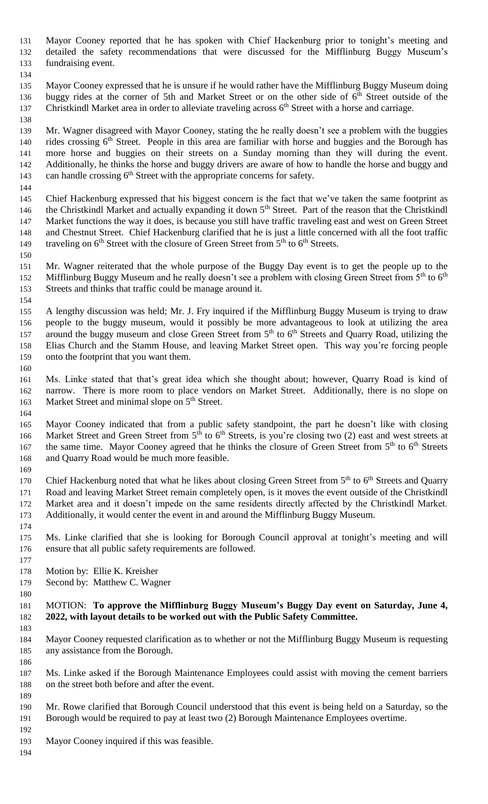Mayor Cooney reported that he has spoken with Chief Hackenburg prior to tonight's meeting and detailed the safety recommendations that were discussed for the Mifflinburg Buggy Museum's fundraising event.

 Mayor Cooney expressed that he is unsure if he would rather have the Mifflinburg Buggy Museum doing 136 buggy rides at the corner of 5th and Market Street or on the other side of  $6<sup>th</sup>$  Street outside of the 137 Christkindl Market area in order to alleviate traveling across  $6<sup>th</sup>$  Street with a horse and carriage.

 Mr. Wagner disagreed with Mayor Cooney, stating the he really doesn't see a problem with the buggies 140 rides crossing  $6<sup>th</sup>$  Street. People in this area are familiar with horse and buggies and the Borough has more horse and buggies on their streets on a Sunday morning than they will during the event. Additionally, he thinks the horse and buggy drivers are aware of how to handle the horse and buggy and 143 can handle crossing  $6<sup>th</sup>$  Street with the appropriate concerns for safety.

- Chief Hackenburg expressed that his biggest concern is the fact that we've taken the same footprint as 146 the Christkindl Market and actually expanding it down 5<sup>th</sup> Street. Part of the reason that the Christkindl Market functions the way it does, is because you still have traffic traveling east and west on Green Street and Chestnut Street. Chief Hackenburg clarified that he is just a little concerned with all the foot traffic 149 traveling on 6<sup>th</sup> Street with the closure of Green Street from 5<sup>th</sup> to 6<sup>th</sup> Streets.
- 

- Mr. Wagner reiterated that the whole purpose of the Buggy Day event is to get the people up to the 152 Mifflinburg Buggy Museum and he really doesn't see a problem with closing Green Street from 5<sup>th</sup> to 6<sup>th</sup> Streets and thinks that traffic could be manage around it.
- A lengthy discussion was held; Mr. J. Fry inquired if the Mifflinburg Buggy Museum is trying to draw people to the buggy museum, would it possibly be more advantageous to look at utilizing the area 157 around the buggy museum and close Green Street from  $5<sup>th</sup>$  to  $6<sup>th</sup>$  Streets and Quarry Road, utilizing the Elias Church and the Stamm House, and leaving Market Street open. This way you're forcing people onto the footprint that you want them.
- 

 Ms. Linke stated that that's great idea which she thought about; however, Quarry Road is kind of narrow. There is more room to place vendors on Market Street. Additionally, there is no slope on 163 Market Street and minimal slope on  $5<sup>th</sup>$  Street.

 Mayor Cooney indicated that from a public safety standpoint, the part he doesn't like with closing 166 Market Street and Green Street from 5<sup>th</sup> to 6<sup>th</sup> Streets, is you're closing two (2) east and west streets at 167 the same time. Mayor Cooney agreed that he thinks the closure of Green Street from  $5<sup>th</sup>$  to  $6<sup>th</sup>$  Streets and Quarry Road would be much more feasible.

170 Chief Hackenburg noted that what he likes about closing Green Street from 5<sup>th</sup> to 6<sup>th</sup> Streets and Quarry Road and leaving Market Street remain completely open, is it moves the event outside of the Christkindl Market area and it doesn't impede on the same residents directly affected by the Christkindl Market. Additionally, it would center the event in and around the Mifflinburg Buggy Museum.

- Ms. Linke clarified that she is looking for Borough Council approval at tonight's meeting and will ensure that all public safety requirements are followed.
- Motion by: Ellie K. Kreisher
- Second by: Matthew C. Wagner
- 

## MOTION: **To approve the Mifflinburg Buggy Museum's Buggy Day event on Saturday, June 4, 2022, with layout details to be worked out with the Public Safety Committee.**

- Mayor Cooney requested clarification as to whether or not the Mifflinburg Buggy Museum is requesting any assistance from the Borough.
- Ms. Linke asked if the Borough Maintenance Employees could assist with moving the cement barriers on the street both before and after the event.
- Mr. Rowe clarified that Borough Council understood that this event is being held on a Saturday, so the Borough would be required to pay at least two (2) Borough Maintenance Employees overtime.
- 
- Mayor Cooney inquired if this was feasible.
-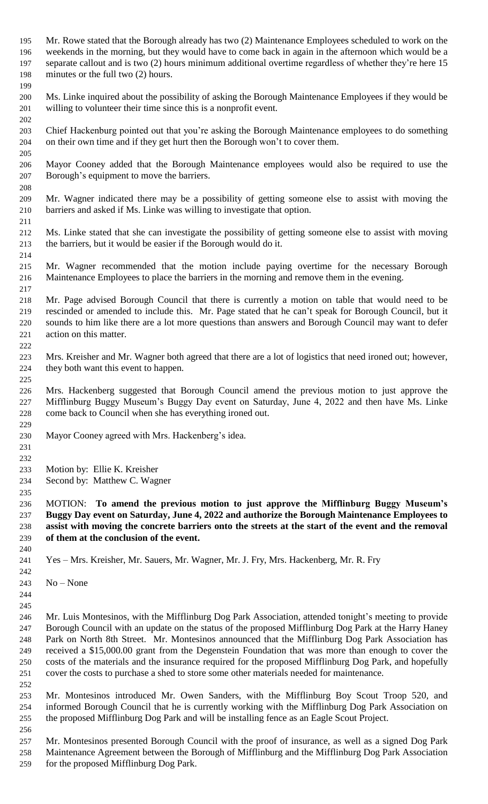- Mr. Rowe stated that the Borough already has two (2) Maintenance Employees scheduled to work on the weekends in the morning, but they would have to come back in again in the afternoon which would be a separate callout and is two (2) hours minimum additional overtime regardless of whether they're here 15 minutes or the full two (2) hours.
- Ms. Linke inquired about the possibility of asking the Borough Maintenance Employees if they would be willing to volunteer their time since this is a nonprofit event.
- Chief Hackenburg pointed out that you're asking the Borough Maintenance employees to do something on their own time and if they get hurt then the Borough won't to cover them.
- Mayor Cooney added that the Borough Maintenance employees would also be required to use the Borough's equipment to move the barriers.
- Mr. Wagner indicated there may be a possibility of getting someone else to assist with moving the barriers and asked if Ms. Linke was willing to investigate that option.
- Ms. Linke stated that she can investigate the possibility of getting someone else to assist with moving the barriers, but it would be easier if the Borough would do it.
- Mr. Wagner recommended that the motion include paying overtime for the necessary Borough Maintenance Employees to place the barriers in the morning and remove them in the evening.
- Mr. Page advised Borough Council that there is currently a motion on table that would need to be rescinded or amended to include this. Mr. Page stated that he can't speak for Borough Council, but it sounds to him like there are a lot more questions than answers and Borough Council may want to defer action on this matter.
- Mrs. Kreisher and Mr. Wagner both agreed that there are a lot of logistics that need ironed out; however, they both want this event to happen.
- Mrs. Hackenberg suggested that Borough Council amend the previous motion to just approve the Mifflinburg Buggy Museum's Buggy Day event on Saturday, June 4, 2022 and then have Ms. Linke come back to Council when she has everything ironed out.
- Mayor Cooney agreed with Mrs. Hackenberg's idea.
- 

- Motion by: Ellie K. Kreisher
- Second by: Matthew C. Wagner
- 

 MOTION: **To amend the previous motion to just approve the Mifflinburg Buggy Museum's Buggy Day event on Saturday, June 4, 2022 and authorize the Borough Maintenance Employees to assist with moving the concrete barriers onto the streets at the start of the event and the removal of them at the conclusion of the event.**

- Yes Mrs. Kreisher, Mr. Sauers, Mr. Wagner, Mr. J. Fry, Mrs. Hackenberg, Mr. R. Fry
- No None
- 

 Mr. Luis Montesinos, with the Mifflinburg Dog Park Association, attended tonight's meeting to provide Borough Council with an update on the status of the proposed Mifflinburg Dog Park at the Harry Haney Park on North 8th Street. Mr. Montesinos announced that the Mifflinburg Dog Park Association has received a \$15,000.00 grant from the Degenstein Foundation that was more than enough to cover the costs of the materials and the insurance required for the proposed Mifflinburg Dog Park, and hopefully cover the costs to purchase a shed to store some other materials needed for maintenance.

 Mr. Montesinos introduced Mr. Owen Sanders, with the Mifflinburg Boy Scout Troop 520, and informed Borough Council that he is currently working with the Mifflinburg Dog Park Association on the proposed Mifflinburg Dog Park and will be installing fence as an Eagle Scout Project.

 Mr. Montesinos presented Borough Council with the proof of insurance, as well as a signed Dog Park Maintenance Agreement between the Borough of Mifflinburg and the Mifflinburg Dog Park Association for the proposed Mifflinburg Dog Park.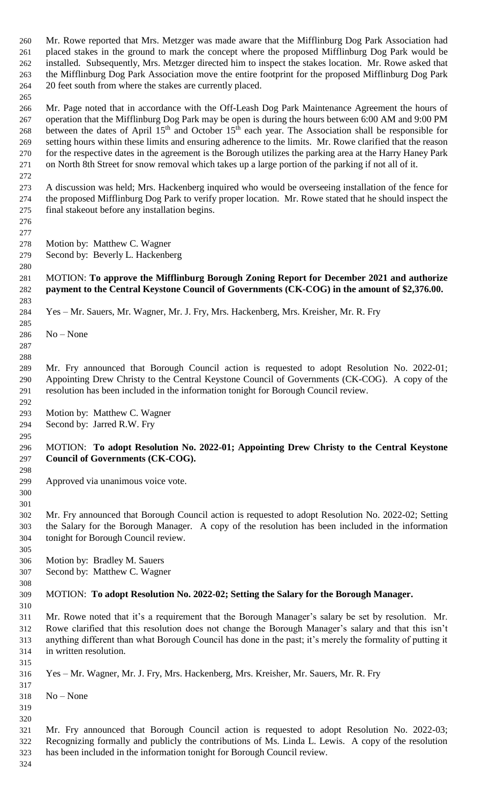Mr. Rowe reported that Mrs. Metzger was made aware that the Mifflinburg Dog Park Association had placed stakes in the ground to mark the concept where the proposed Mifflinburg Dog Park would be installed. Subsequently, Mrs. Metzger directed him to inspect the stakes location. Mr. Rowe asked that the Mifflinburg Dog Park Association move the entire footprint for the proposed Mifflinburg Dog Park 264 20 feet south from where the stakes are currently placed.

 Mr. Page noted that in accordance with the Off-Leash Dog Park Maintenance Agreement the hours of operation that the Mifflinburg Dog Park may be open is during the hours between 6:00 AM and 9:00 PM 268 between the dates of April  $15<sup>th</sup>$  and October  $15<sup>th</sup>$  each year. The Association shall be responsible for setting hours within these limits and ensuring adherence to the limits. Mr. Rowe clarified that the reason for the respective dates in the agreement is the Borough utilizes the parking area at the Harry Haney Park on North 8th Street for snow removal which takes up a large portion of the parking if not all of it.

 A discussion was held; Mrs. Hackenberg inquired who would be overseeing installation of the fence for the proposed Mifflinburg Dog Park to verify proper location. Mr. Rowe stated that he should inspect the final stakeout before any installation begins.

 Motion by: Matthew C. Wagner

Second by: Beverly L. Hackenberg

#### MOTION: **To approve the Mifflinburg Borough Zoning Report for December 2021 and authorize payment to the Central Keystone Council of Governments (CK-COG) in the amount of \$2,376.00.**

Yes – Mr. Sauers, Mr. Wagner, Mr. J. Fry, Mrs. Hackenberg, Mrs. Kreisher, Mr. R. Fry

 No – None

 

 Mr. Fry announced that Borough Council action is requested to adopt Resolution No. 2022-01; Appointing Drew Christy to the Central Keystone Council of Governments (CK-COG). A copy of the resolution has been included in the information tonight for Borough Council review.

Motion by: Matthew C. Wagner

 Second by: Jarred R.W. Fry 

## MOTION: **To adopt Resolution No. 2022-01; Appointing Drew Christy to the Central Keystone Council of Governments (CK-COG).**

Approved via unanimous voice vote.

 

 Mr. Fry announced that Borough Council action is requested to adopt Resolution No. 2022-02; Setting the Salary for the Borough Manager. A copy of the resolution has been included in the information tonight for Borough Council review.

 Motion by: Bradley M. Sauers

Second by: Matthew C. Wagner

# MOTION: **To adopt Resolution No. 2022-02; Setting the Salary for the Borough Manager.**

 Mr. Rowe noted that it's a requirement that the Borough Manager's salary be set by resolution. Mr. Rowe clarified that this resolution does not change the Borough Manager's salary and that this isn't anything different than what Borough Council has done in the past; it's merely the formality of putting it in written resolution. 

Yes – Mr. Wagner, Mr. J. Fry, Mrs. Hackenberg, Mrs. Kreisher, Mr. Sauers, Mr. R. Fry

 No – None

 

 Mr. Fry announced that Borough Council action is requested to adopt Resolution No. 2022-03; Recognizing formally and publicly the contributions of Ms. Linda L. Lewis. A copy of the resolution has been included in the information tonight for Borough Council review.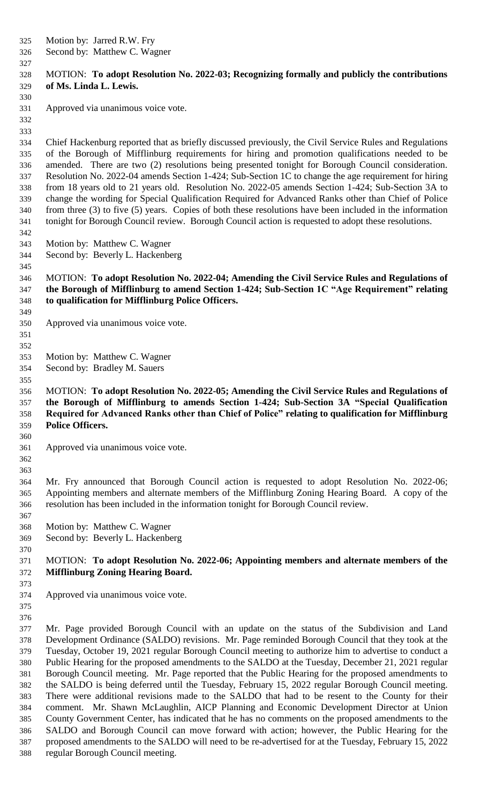Motion by: Jarred R.W. Fry

Second by: Matthew C. Wagner

#### MOTION: **To adopt Resolution No. 2022-03; Recognizing formally and publicly the contributions of Ms. Linda L. Lewis.**

Approved via unanimous voice vote.

 

 Chief Hackenburg reported that as briefly discussed previously, the Civil Service Rules and Regulations of the Borough of Mifflinburg requirements for hiring and promotion qualifications needed to be amended. There are two (2) resolutions being presented tonight for Borough Council consideration. Resolution No. 2022-04 amends Section 1-424; Sub-Section 1C to change the age requirement for hiring from 18 years old to 21 years old. Resolution No. 2022-05 amends Section 1-424; Sub-Section 3A to change the wording for Special Qualification Required for Advanced Ranks other than Chief of Police from three (3) to five (5) years. Copies of both these resolutions have been included in the information tonight for Borough Council review. Borough Council action is requested to adopt these resolutions.

Motion by: Matthew C. Wagner

Second by: Beverly L. Hackenberg

 MOTION: **To adopt Resolution No. 2022-04; Amending the Civil Service Rules and Regulations of the Borough of Mifflinburg to amend Section 1-424; Sub-Section 1C "Age Requirement" relating to qualification for Mifflinburg Police Officers.**

- Approved via unanimous voice vote.
- 

- Motion by: Matthew C. Wagner
- Second by: Bradley M. Sauers

 MOTION: **To adopt Resolution No. 2022-05; Amending the Civil Service Rules and Regulations of the Borough of Mifflinburg to amends Section 1-424; Sub-Section 3A "Special Qualification Required for Advanced Ranks other than Chief of Police" relating to qualification for Mifflinburg Police Officers.**

- Approved via unanimous voice vote.
- 

 Mr. Fry announced that Borough Council action is requested to adopt Resolution No. 2022-06; Appointing members and alternate members of the Mifflinburg Zoning Hearing Board. A copy of the resolution has been included in the information tonight for Borough Council review.

 Motion by: Matthew C. Wagner

Second by: Beverly L. Hackenberg

## MOTION: **To adopt Resolution No. 2022-06; Appointing members and alternate members of the Mifflinburg Zoning Hearing Board.**

- Approved via unanimous voice vote.
- 

 Mr. Page provided Borough Council with an update on the status of the Subdivision and Land Development Ordinance (SALDO) revisions. Mr. Page reminded Borough Council that they took at the Tuesday, October 19, 2021 regular Borough Council meeting to authorize him to advertise to conduct a Public Hearing for the proposed amendments to the SALDO at the Tuesday, December 21, 2021 regular Borough Council meeting. Mr. Page reported that the Public Hearing for the proposed amendments to the SALDO is being deferred until the Tuesday, February 15, 2022 regular Borough Council meeting. There were additional revisions made to the SALDO that had to be resent to the County for their comment. Mr. Shawn McLaughlin, AICP Planning and Economic Development Director at Union County Government Center, has indicated that he has no comments on the proposed amendments to the SALDO and Borough Council can move forward with action; however, the Public Hearing for the proposed amendments to the SALDO will need to be re-advertised for at the Tuesday, February 15, 2022 regular Borough Council meeting.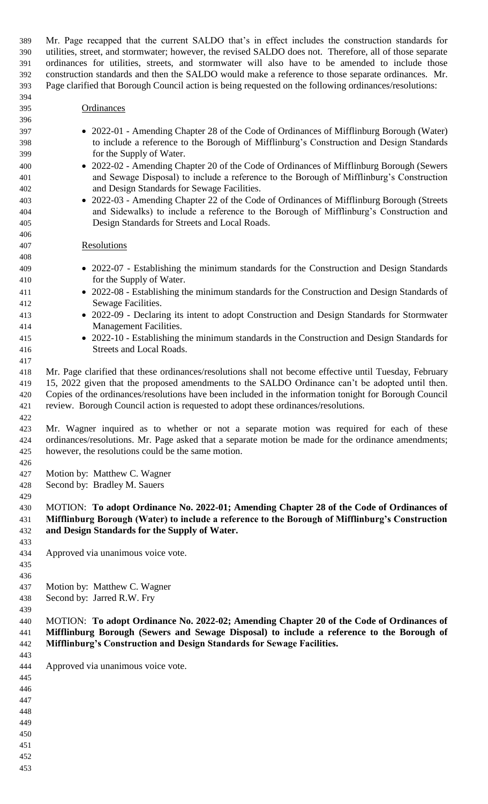Mr. Page recapped that the current SALDO that's in effect includes the construction standards for utilities, street, and stormwater; however, the revised SALDO does not. Therefore, all of those separate ordinances for utilities, streets, and stormwater will also have to be amended to include those construction standards and then the SALDO would make a reference to those separate ordinances. Mr. Page clarified that Borough Council action is being requested on the following ordinances/resolutions: Ordinances

- 2022-01 Amending Chapter 28 of the Code of Ordinances of Mifflinburg Borough (Water) to include a reference to the Borough of Mifflinburg's Construction and Design Standards for the Supply of Water.
- 2022-02 Amending Chapter 20 of the Code of Ordinances of Mifflinburg Borough (Sewers and Sewage Disposal) to include a reference to the Borough of Mifflinburg's Construction and Design Standards for Sewage Facilities.
- 2022-03 Amending Chapter 22 of the Code of Ordinances of Mifflinburg Borough (Streets and Sidewalks) to include a reference to the Borough of Mifflinburg's Construction and Design Standards for Streets and Local Roads.
- Resolutions
- 2022-07 Establishing the minimum standards for the Construction and Design Standards for the Supply of Water.
- 2022-08 Establishing the minimum standards for the Construction and Design Standards of Sewage Facilities.
- 2022-09 Declaring its intent to adopt Construction and Design Standards for Stormwater Management Facilities.
- 2022-10 Establishing the minimum standards in the Construction and Design Standards for Streets and Local Roads.
- Mr. Page clarified that these ordinances/resolutions shall not become effective until Tuesday, February 15, 2022 given that the proposed amendments to the SALDO Ordinance can't be adopted until then. Copies of the ordinances/resolutions have been included in the information tonight for Borough Council review. Borough Council action is requested to adopt these ordinances/resolutions.
- Mr. Wagner inquired as to whether or not a separate motion was required for each of these ordinances/resolutions. Mr. Page asked that a separate motion be made for the ordinance amendments; however, the resolutions could be the same motion.
- Motion by: Matthew C. Wagner
- Second by: Bradley M. Sauers
- 

 MOTION: **To adopt Ordinance No. 2022-01; Amending Chapter 28 of the Code of Ordinances of Mifflinburg Borough (Water) to include a reference to the Borough of Mifflinburg's Construction and Design Standards for the Supply of Water.**

- Approved via unanimous voice vote.
- 

- Motion by: Matthew C. Wagner
- Second by: Jarred R.W. Fry
- MOTION: **To adopt Ordinance No. 2022-02; Amending Chapter 20 of the Code of Ordinances of Mifflinburg Borough (Sewers and Sewage Disposal) to include a reference to the Borough of Mifflinburg's Construction and Design Standards for Sewage Facilities.**
- Approved via unanimous voice vote.
- 

- 
- 
- 
- 
- 
- 
-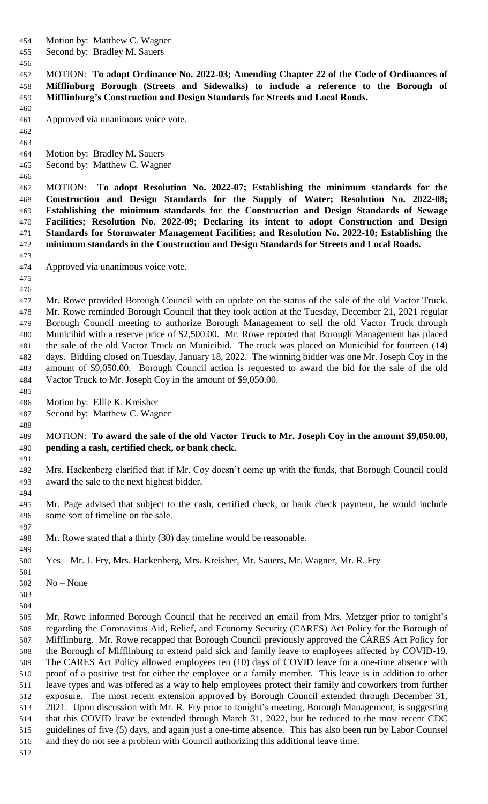Motion by: Matthew C. Wagner Second by: Bradley M. Sauers MOTION: **To adopt Ordinance No. 2022-03; Amending Chapter 22 of the Code of Ordinances of Mifflinburg Borough (Streets and Sidewalks) to include a reference to the Borough of Mifflinburg's Construction and Design Standards for Streets and Local Roads.** Approved via unanimous voice vote. Motion by: Bradley M. Sauers Second by: Matthew C. Wagner MOTION: **To adopt Resolution No. 2022-07; Establishing the minimum standards for the Construction and Design Standards for the Supply of Water; Resolution No. 2022-08;**

 **Establishing the minimum standards for the Construction and Design Standards of Sewage Facilities; Resolution No. 2022-09; Declaring its intent to adopt Construction and Design Standards for Stormwater Management Facilities; and Resolution No. 2022-10; Establishing the minimum standards in the Construction and Design Standards for Streets and Local Roads.** 

Approved via unanimous voice vote.

 Mr. Rowe provided Borough Council with an update on the status of the sale of the old Vactor Truck. Mr. Rowe reminded Borough Council that they took action at the Tuesday, December 21, 2021 regular Borough Council meeting to authorize Borough Management to sell the old Vactor Truck through Municibid with a reserve price of \$2,500.00. Mr. Rowe reported that Borough Management has placed the sale of the old Vactor Truck on Municibid. The truck was placed on Municibid for fourteen (14) days. Bidding closed on Tuesday, January 18, 2022. The winning bidder was one Mr. Joseph Coy in the amount of \$9,050.00. Borough Council action is requested to award the bid for the sale of the old

Motion by: Ellie K. Kreisher

Second by: Matthew C. Wagner

#### MOTION: **To award the sale of the old Vactor Truck to Mr. Joseph Coy in the amount \$9,050.00, pending a cash, certified check, or bank check.**

- Mrs. Hackenberg clarified that if Mr. Coy doesn't come up with the funds, that Borough Council could award the sale to the next highest bidder.
- Mr. Page advised that subject to the cash, certified check, or bank check payment, he would include some sort of timeline on the sale.
- Mr. Rowe stated that a thirty (30) day timeline would be reasonable.

Vactor Truck to Mr. Joseph Coy in the amount of \$9,050.00.

- Yes Mr. J. Fry, Mrs. Hackenberg, Mrs. Kreisher, Mr. Sauers, Mr. Wagner, Mr. R. Fry
- No None
- 

 Mr. Rowe informed Borough Council that he received an email from Mrs. Metzger prior to tonight's regarding the Coronavirus Aid, Relief, and Economy Security (CARES) Act Policy for the Borough of Mifflinburg. Mr. Rowe recapped that Borough Council previously approved the CARES Act Policy for the Borough of Mifflinburg to extend paid sick and family leave to employees affected by COVID-19. The CARES Act Policy allowed employees ten (10) days of COVID leave for a one-time absence with proof of a positive test for either the employee or a family member. This leave is in addition to other leave types and was offered as a way to help employees protect their family and coworkers from further exposure. The most recent extension approved by Borough Council extended through December 31, 2021. Upon discussion with Mr. R. Fry prior to tonight's meeting, Borough Management, is suggesting that this COVID leave be extended through March 31, 2022, but be reduced to the most recent CDC guidelines of five (5) days, and again just a one-time absence. This has also been run by Labor Counsel and they do not see a problem with Council authorizing this additional leave time.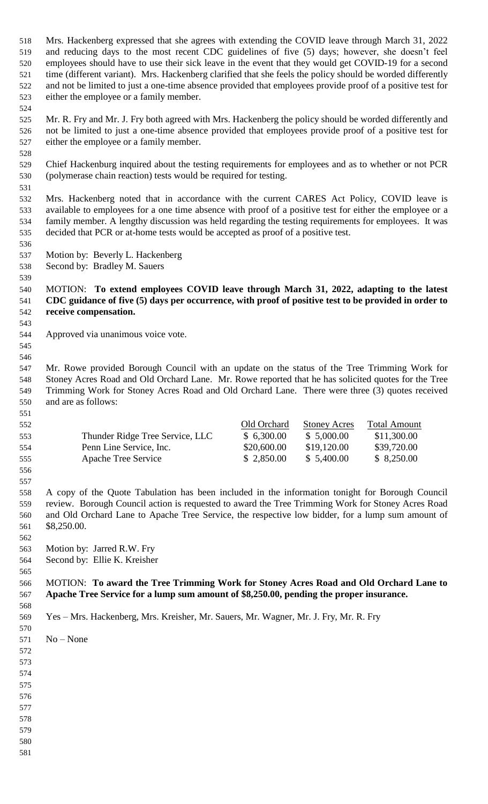Mrs. Hackenberg expressed that she agrees with extending the COVID leave through March 31, 2022 and reducing days to the most recent CDC guidelines of five (5) days; however, she doesn't feel employees should have to use their sick leave in the event that they would get COVID-19 for a second time (different variant). Mrs. Hackenberg clarified that she feels the policy should be worded differently and not be limited to just a one-time absence provided that employees provide proof of a positive test for either the employee or a family member.

 Mr. R. Fry and Mr. J. Fry both agreed with Mrs. Hackenberg the policy should be worded differently and not be limited to just a one-time absence provided that employees provide proof of a positive test for either the employee or a family member.

 Chief Hackenburg inquired about the testing requirements for employees and as to whether or not PCR (polymerase chain reaction) tests would be required for testing.

532 Mrs. Hackenberg noted that in accordance with the current CARES Act Policy, COVID leave is available to employees for a one time absence with proof of a positive test for either the employee or a family member. A lengthy discussion was held regarding the testing requirements for employees. It was decided that PCR or at-home tests would be accepted as proof of a positive test.

- Motion by: Beverly L. Hackenberg
- Second by: Bradley M. Sauers

 MOTION: **To extend employees COVID leave through March 31, 2022, adapting to the latest CDC guidance of five (5) days per occurrence, with proof of positive test to be provided in order to receive compensation.**

- Approved via unanimous voice vote.
- 

 

 Mr. Rowe provided Borough Council with an update on the status of the Tree Trimming Work for Stoney Acres Road and Old Orchard Lane. Mr. Rowe reported that he has solicited quotes for the Tree Trimming Work for Stoney Acres Road and Old Orchard Lane. There were three (3) quotes received and are as follows:

| 552. |                                 | Old Orchard | <b>Stoney Acres</b> | <b>Total Amount</b> |
|------|---------------------------------|-------------|---------------------|---------------------|
| 553  | Thunder Ridge Tree Service, LLC | \$6,300.00  | \$5,000.00          | \$11,300.00         |
| 554  | Penn Line Service, Inc.         | \$20,600.00 | \$19,120.00         | \$39,720.00         |
| 555  | Apache Tree Service             | \$ 2,850.00 | \$5,400.00          | \$8,250.00          |

 A copy of the Quote Tabulation has been included in the information tonight for Borough Council review. Borough Council action is requested to award the Tree Trimming Work for Stoney Acres Road and Old Orchard Lane to Apache Tree Service, the respective low bidder, for a lump sum amount of \$8,250.00.

 Motion by: Jarred R.W. Fry

Second by: Ellie K. Kreisher

 MOTION: **To award the Tree Trimming Work for Stoney Acres Road and Old Orchard Lane to Apache Tree Service for a lump sum amount of \$8,250.00, pending the proper insurance.**

- Yes Mrs. Hackenberg, Mrs. Kreisher, Mr. Sauers, Mr. Wagner, Mr. J. Fry, Mr. R. Fry
- No – None
- 

- 
- 
- 
- 
- 
- 
-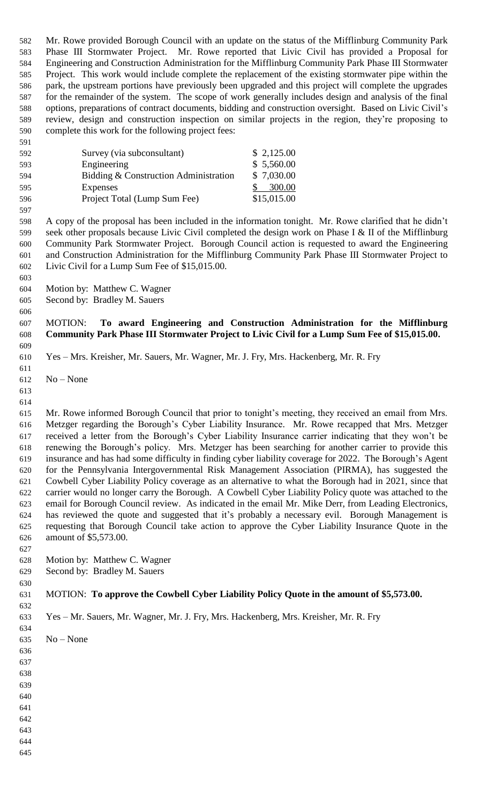Mr. Rowe provided Borough Council with an update on the status of the Mifflinburg Community Park Phase III Stormwater Project. Mr. Rowe reported that Livic Civil has provided a Proposal for Engineering and Construction Administration for the Mifflinburg Community Park Phase III Stormwater Project. This work would include complete the replacement of the existing stormwater pipe within the park, the upstream portions have previously been upgraded and this project will complete the upgrades for the remainder of the system. The scope of work generally includes design and analysis of the final options, preparations of contract documents, bidding and construction oversight. Based on Livic Civil's review, design and construction inspection on similar projects in the region, they're proposing to complete this work for the following project fees:

| 592. | Survey (via subconsultant)            | \$2,125.00  |
|------|---------------------------------------|-------------|
| 593  | Engineering                           | \$5,560.00  |
| 594  | Bidding & Construction Administration | \$7,030.00  |
| 595  | <b>Expenses</b>                       | 300.00      |
| 596  | Project Total (Lump Sum Fee)          | \$15,015.00 |
|      |                                       |             |

 A copy of the proposal has been included in the information tonight. Mr. Rowe clarified that he didn't seek other proposals because Livic Civil completed the design work on Phase I & II of the Mifflinburg Community Park Stormwater Project. Borough Council action is requested to award the Engineering and Construction Administration for the Mifflinburg Community Park Phase III Stormwater Project to Livic Civil for a Lump Sum Fee of \$15,015.00.

Motion by: Matthew C. Wagner

Second by: Bradley M. Sauers

 MOTION: **To award Engineering and Construction Administration for the Mifflinburg Community Park Phase III Stormwater Project to Livic Civil for a Lump Sum Fee of \$15,015.00.**

Yes – Mrs. Kreisher, Mr. Sauers, Mr. Wagner, Mr. J. Fry, Mrs. Hackenberg, Mr. R. Fry

No – None

 

 Mr. Rowe informed Borough Council that prior to tonight's meeting, they received an email from Mrs. Metzger regarding the Borough's Cyber Liability Insurance. Mr. Rowe recapped that Mrs. Metzger received a letter from the Borough's Cyber Liability Insurance carrier indicating that they won't be renewing the Borough's policy. Mrs. Metzger has been searching for another carrier to provide this insurance and has had some difficulty in finding cyber liability coverage for 2022. The Borough's Agent for the Pennsylvania Intergovernmental Risk Management Association (PIRMA), has suggested the Cowbell Cyber Liability Policy coverage as an alternative to what the Borough had in 2021, since that carrier would no longer carry the Borough. A Cowbell Cyber Liability Policy quote was attached to the email for Borough Council review. As indicated in the email Mr. Mike Derr, from Leading Electronics, has reviewed the quote and suggested that it's probably a necessary evil. Borough Management is requesting that Borough Council take action to approve the Cyber Liability Insurance Quote in the amount of \$5,573.00. 

Motion by: Matthew C. Wagner

Second by: Bradley M. Sauers

#### MOTION: **To approve the Cowbell Cyber Liability Policy Quote in the amount of \$5,573.00.**

Yes – Mr. Sauers, Mr. Wagner, Mr. J. Fry, Mrs. Hackenberg, Mrs. Kreisher, Mr. R. Fry

No – None

 

- 
- 
- 
- 
- 
- 
-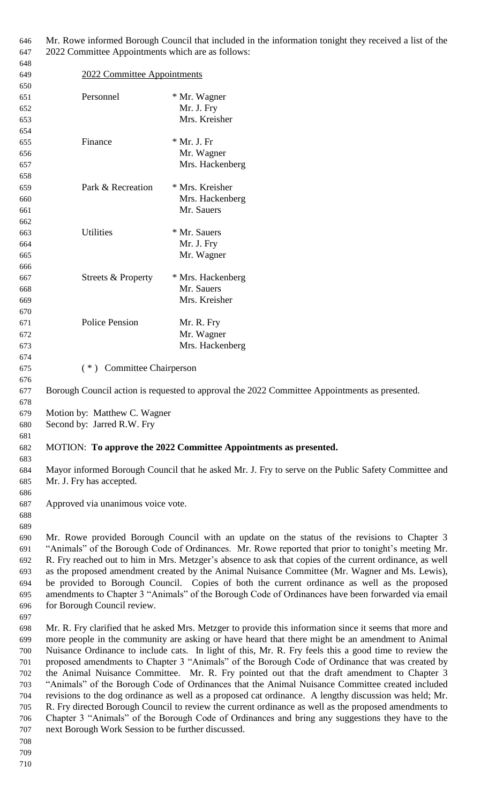Mr. Rowe informed Borough Council that included in the information tonight they received a list of the 2022 Committee Appointments which are as follows:

| 648 |                               |                                                                                               |
|-----|-------------------------------|-----------------------------------------------------------------------------------------------|
| 649 | 2022 Committee Appointments   |                                                                                               |
| 650 |                               |                                                                                               |
| 651 | Personnel                     | * Mr. Wagner                                                                                  |
| 652 |                               | Mr. J. Fry                                                                                    |
| 653 |                               | Mrs. Kreisher                                                                                 |
| 654 |                               |                                                                                               |
| 655 | Finance                       | $*$ Mr. J. Fr                                                                                 |
| 656 |                               | Mr. Wagner                                                                                    |
| 657 |                               | Mrs. Hackenberg                                                                               |
| 658 |                               |                                                                                               |
| 659 | Park & Recreation             | * Mrs. Kreisher                                                                               |
| 660 |                               | Mrs. Hackenberg                                                                               |
| 661 |                               | Mr. Sauers                                                                                    |
| 662 |                               |                                                                                               |
| 663 | <b>Utilities</b>              | * Mr. Sauers                                                                                  |
| 664 |                               | Mr. J. Fry                                                                                    |
| 665 |                               | Mr. Wagner                                                                                    |
| 666 |                               |                                                                                               |
| 667 | <b>Streets &amp; Property</b> | * Mrs. Hackenberg                                                                             |
| 668 |                               | Mr. Sauers                                                                                    |
| 669 |                               | Mrs. Kreisher                                                                                 |
| 670 |                               |                                                                                               |
| 671 | <b>Police Pension</b>         | Mr. R. Fry                                                                                    |
| 672 |                               | Mr. Wagner                                                                                    |
| 673 |                               | Mrs. Hackenberg                                                                               |
| 674 |                               |                                                                                               |
| 675 | (*) Committee Chairperson     |                                                                                               |
| 676 |                               |                                                                                               |
| 677 |                               | Borough Council action is requested to approval the 2022 Committee Appointments as presented. |
| 678 |                               |                                                                                               |
| 679 | Motion by: Matthew C. Wagner  |                                                                                               |
| 680 | Second by: Jarred R.W. Fry    |                                                                                               |
| 681 |                               |                                                                                               |

## MOTION: **To approve the 2022 Committee Appointments as presented.**

 Mayor informed Borough Council that he asked Mr. J. Fry to serve on the Public Safety Committee and Mr. J. Fry has accepted.

Approved via unanimous voice vote.

 Mr. Rowe provided Borough Council with an update on the status of the revisions to Chapter 3 "Animals" of the Borough Code of Ordinances. Mr. Rowe reported that prior to tonight's meeting Mr. R. Fry reached out to him in Mrs. Metzger's absence to ask that copies of the current ordinance, as well as the proposed amendment created by the Animal Nuisance Committee (Mr. Wagner and Ms. Lewis), be provided to Borough Council. Copies of both the current ordinance as well as the proposed amendments to Chapter 3 "Animals" of the Borough Code of Ordinances have been forwarded via email for Borough Council review.

 Mr. R. Fry clarified that he asked Mrs. Metzger to provide this information since it seems that more and more people in the community are asking or have heard that there might be an amendment to Animal Nuisance Ordinance to include cats. In light of this, Mr. R. Fry feels this a good time to review the proposed amendments to Chapter 3 "Animals" of the Borough Code of Ordinance that was created by the Animal Nuisance Committee. Mr. R. Fry pointed out that the draft amendment to Chapter 3 "Animals" of the Borough Code of Ordinances that the Animal Nuisance Committee created included revisions to the dog ordinance as well as a proposed cat ordinance. A lengthy discussion was held; Mr. R. Fry directed Borough Council to review the current ordinance as well as the proposed amendments to Chapter 3 "Animals" of the Borough Code of Ordinances and bring any suggestions they have to the next Borough Work Session to be further discussed.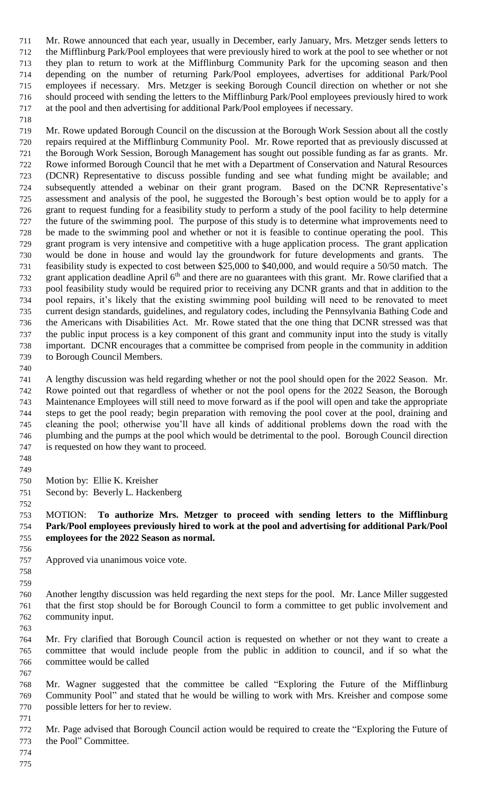Mr. Rowe announced that each year, usually in December, early January, Mrs. Metzger sends letters to the Mifflinburg Park/Pool employees that were previously hired to work at the pool to see whether or not they plan to return to work at the Mifflinburg Community Park for the upcoming season and then depending on the number of returning Park/Pool employees, advertises for additional Park/Pool employees if necessary. Mrs. Metzger is seeking Borough Council direction on whether or not she should proceed with sending the letters to the Mifflinburg Park/Pool employees previously hired to work at the pool and then advertising for additional Park/Pool employees if necessary.

 Mr. Rowe updated Borough Council on the discussion at the Borough Work Session about all the costly repairs required at the Mifflinburg Community Pool. Mr. Rowe reported that as previously discussed at the Borough Work Session, Borough Management has sought out possible funding as far as grants. Mr. Rowe informed Borough Council that he met with a Department of Conservation and Natural Resources (DCNR) Representative to discuss possible funding and see what funding might be available; and subsequently attended a webinar on their grant program. Based on the DCNR Representative's assessment and analysis of the pool, he suggested the Borough's best option would be to apply for a grant to request funding for a feasibility study to perform a study of the pool facility to help determine the future of the swimming pool. The purpose of this study is to determine what improvements need to be made to the swimming pool and whether or not it is feasible to continue operating the pool. This grant program is very intensive and competitive with a huge application process. The grant application would be done in house and would lay the groundwork for future developments and grants. The feasibility study is expected to cost between \$25,000 to \$40,000, and would require a 50/50 match. The grant application deadline April  $6<sup>th</sup>$  and there are no guarantees with this grant. Mr. Rowe clarified that a pool feasibility study would be required prior to receiving any DCNR grants and that in addition to the pool repairs, it's likely that the existing swimming pool building will need to be renovated to meet current design standards, guidelines, and regulatory codes, including the Pennsylvania Bathing Code and the Americans with Disabilities Act. Mr. Rowe stated that the one thing that DCNR stressed was that the public input process is a key component of this grant and community input into the study is vitally important. DCNR encourages that a committee be comprised from people in the community in addition to Borough Council Members.

 A lengthy discussion was held regarding whether or not the pool should open for the 2022 Season. Mr. Rowe pointed out that regardless of whether or not the pool opens for the 2022 Season, the Borough Maintenance Employees will still need to move forward as if the pool will open and take the appropriate steps to get the pool ready; begin preparation with removing the pool cover at the pool, draining and cleaning the pool; otherwise you'll have all kinds of additional problems down the road with the plumbing and the pumps at the pool which would be detrimental to the pool. Borough Council direction is requested on how they want to proceed.

 

- Motion by: Ellie K. Kreisher
- Second by: Beverly L. Hackenberg

# MOTION: **To authorize Mrs. Metzger to proceed with sending letters to the Mifflinburg Park/Pool employees previously hired to work at the pool and advertising for additional Park/Pool employees for the 2022 Season as normal.**

- Approved via unanimous voice vote.
- 

- Another lengthy discussion was held regarding the next steps for the pool. Mr. Lance Miller suggested that the first stop should be for Borough Council to form a committee to get public involvement and community input.
- Mr. Fry clarified that Borough Council action is requested on whether or not they want to create a committee that would include people from the public in addition to council, and if so what the committee would be called
- Mr. Wagner suggested that the committee be called "Exploring the Future of the Mifflinburg Community Pool" and stated that he would be willing to work with Mrs. Kreisher and compose some possible letters for her to review.
- Mr. Page advised that Borough Council action would be required to create the "Exploring the Future of the Pool" Committee.
-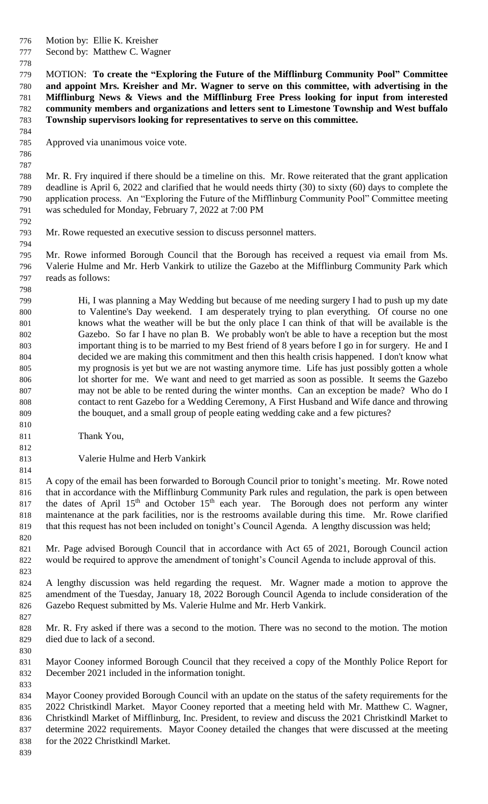- Motion by: Ellie K. Kreisher
- Second by: Matthew C. Wagner
- 

 MOTION: **To create the "Exploring the Future of the Mifflinburg Community Pool" Committee and appoint Mrs. Kreisher and Mr. Wagner to serve on this committee, with advertising in the Mifflinburg News & Views and the Mifflinburg Free Press looking for input from interested community members and organizations and letters sent to Limestone Township and West buffalo Township supervisors looking for representatives to serve on this committee.**

- Approved via unanimous voice vote.
- 

 Mr. R. Fry inquired if there should be a timeline on this. Mr. Rowe reiterated that the grant application deadline is April 6, 2022 and clarified that he would needs thirty (30) to sixty (60) days to complete the application process. An "Exploring the Future of the Mifflinburg Community Pool" Committee meeting was scheduled for Monday, February 7, 2022 at 7:00 PM

Mr. Rowe requested an executive session to discuss personnel matters.

 Mr. Rowe informed Borough Council that the Borough has received a request via email from Ms. Valerie Hulme and Mr. Herb Vankirk to utilize the Gazebo at the Mifflinburg Community Park which reads as follows:

 Hi, I was planning a May Wedding but because of me needing surgery I had to push up my date to Valentine's Day weekend. I am desperately trying to plan everything. Of course no one knows what the weather will be but the only place I can think of that will be available is the Gazebo. So far I have no plan B. We probably won't be able to have a reception but the most important thing is to be married to my Best friend of 8 years before I go in for surgery. He and I decided we are making this commitment and then this health crisis happened. I don't know what my prognosis is yet but we are not wasting anymore time. Life has just possibly gotten a whole lot shorter for me. We want and need to get married as soon as possible. It seems the Gazebo may not be able to be rented during the winter months. Can an exception be made? Who do I contact to rent Gazebo for a Wedding Ceremony, A First Husband and Wife dance and throwing the bouquet, and a small group of people eating wedding cake and a few pictures?

- Thank You,
- Valerie Hulme and Herb Vankirk

 A copy of the email has been forwarded to Borough Council prior to tonight's meeting. Mr. Rowe noted 816 that in accordance with the Mifflinburg Community Park rules and regulation, the park is open between 817 the dates of April  $15<sup>th</sup>$  and October  $15<sup>th</sup>$  each year. The Borough does not perform any winter maintenance at the park facilities, nor is the restrooms available during this time. Mr. Rowe clarified 819 that this request has not been included on tonight's Council Agenda. A lengthy discussion was held;

 821 Mr. Page advised Borough Council that in accordance with Act 65 of 2021, Borough Council action would be required to approve the amendment of tonight's Council Agenda to include approval of this.

 A lengthy discussion was held regarding the request. Mr. Wagner made a motion to approve the amendment of the Tuesday, January 18, 2022 Borough Council Agenda to include consideration of the Gazebo Request submitted by Ms. Valerie Hulme and Mr. Herb Vankirk.

 Mr. R. Fry asked if there was a second to the motion. There was no second to the motion. The motion died due to lack of a second.

831 Mayor Cooney informed Borough Council that they received a copy of the Monthly Police Report for December 2021 included in the information tonight.

 Mayor Cooney provided Borough Council with an update on the status of the safety requirements for the 2022 Christkindl Market. Mayor Cooney reported that a meeting held with Mr. Matthew C. Wagner, Christkindl Market of Mifflinburg, Inc. President, to review and discuss the 2021 Christkindl Market to determine 2022 requirements. Mayor Cooney detailed the changes that were discussed at the meeting for the 2022 Christkindl Market.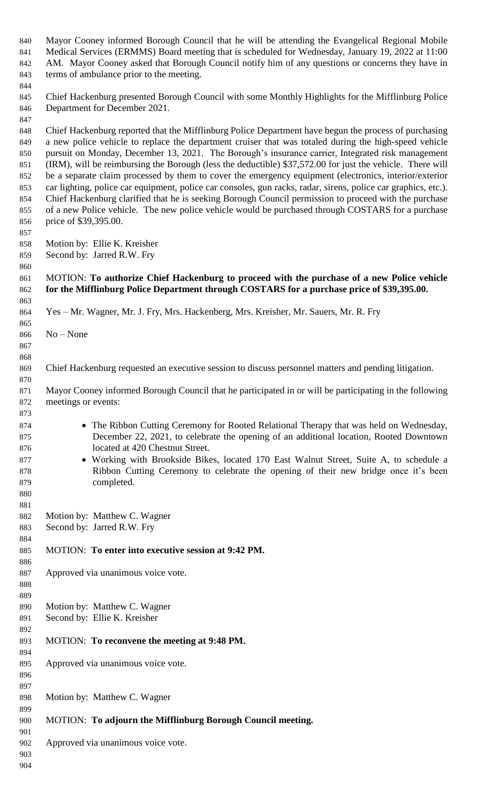Mayor Cooney informed Borough Council that he will be attending the Evangelical Regional Mobile Medical Services (ERMMS) Board meeting that is scheduled for Wednesday, January 19, 2022 at 11:00 AM. Mayor Cooney asked that Borough Council notify him of any questions or concerns they have in terms of ambulance prior to the meeting. Chief Hackenburg presented Borough Council with some Monthly Highlights for the Mifflinburg Police Department for December 2021. 848 Chief Hackenburg reported that the Mifflinburg Police Department have begun the process of purchasing a new police vehicle to replace the department cruiser that was totaled during the high-speed vehicle pursuit on Monday, December 13, 2021. The Borough's insurance carrier, Integrated risk management (IRM), will be reimbursing the Borough (less the deductible) \$37,572.00 for just the vehicle. There will be a separate claim processed by them to cover the emergency equipment (electronics, interior/exterior car lighting, police car equipment, police car consoles, gun racks, radar, sirens, police car graphics, etc.). Chief Hackenburg clarified that he is seeking Borough Council permission to proceed with the purchase of a new Police vehicle. The new police vehicle would be purchased through COSTARS for a purchase price of \$39,395.00. Motion by: Ellie K. Kreisher Second by: Jarred R.W. Fry MOTION: **To authorize Chief Hackenburg to proceed with the purchase of a new Police vehicle for the Mifflinburg Police Department through COSTARS for a purchase price of \$39,395.00.** Yes – Mr. Wagner, Mr. J. Fry, Mrs. Hackenberg, Mrs. Kreisher, Mr. Sauers, Mr. R. Fry No – None Chief Hackenburg requested an executive session to discuss personnel matters and pending litigation. Mayor Cooney informed Borough Council that he participated in or will be participating in the following meetings or events: 874 • The Ribbon Cutting Ceremony for Rooted Relational Therapy that was held on Wednesday, December 22, 2021, to celebrate the opening of an additional location, Rooted Downtown located at 420 Chestnut Street. 877 • Working with Brookside Bikes, located 170 East Walnut Street, Suite A, to schedule a Ribbon Cutting Ceremony to celebrate the opening of their new bridge once it's been completed. Motion by: Matthew C. Wagner Second by: Jarred R.W. Fry MOTION: **To enter into executive session at 9:42 PM.** Approved via unanimous voice vote. Motion by: Matthew C. Wagner Second by: Ellie K. Kreisher MOTION: **To reconvene the meeting at 9:48 PM.** Approved via unanimous voice vote. Motion by: Matthew C. Wagner MOTION: **To adjourn the Mifflinburg Borough Council meeting.** Approved via unanimous voice vote.